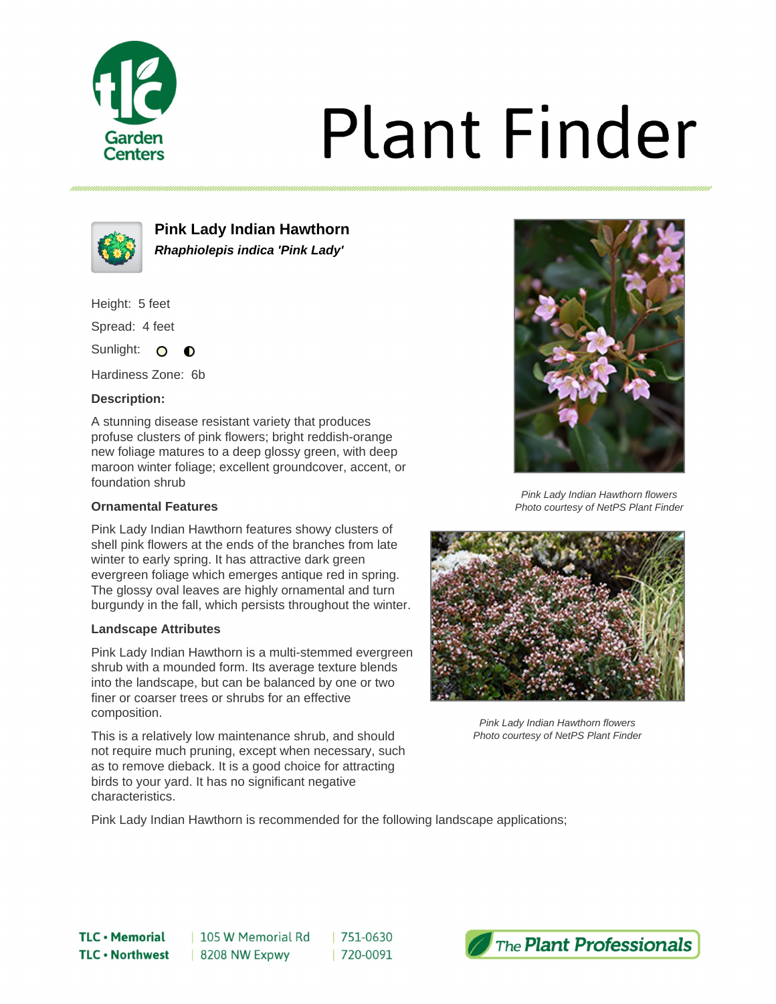

# **Plant Finder**



**Pink Lady Indian Hawthorn Rhaphiolepis indica 'Pink Lady'**

Height: 5 feet

Spread: 4 feet

Sunlight: O  $\bullet$ 

Hardiness Zone: 6b

## **Description:**

A stunning disease resistant variety that produces profuse clusters of pink flowers; bright reddish-orange new foliage matures to a deep glossy green, with deep maroon winter foliage; excellent groundcover, accent, or foundation shrub

### **Ornamental Features**

Pink Lady Indian Hawthorn features showy clusters of shell pink flowers at the ends of the branches from late winter to early spring. It has attractive dark green evergreen foliage which emerges antique red in spring. The glossy oval leaves are highly ornamental and turn burgundy in the fall, which persists throughout the winter.

#### **Landscape Attributes**

Pink Lady Indian Hawthorn is a multi-stemmed evergreen shrub with a mounded form. Its average texture blends into the landscape, but can be balanced by one or two finer or coarser trees or shrubs for an effective composition.

This is a relatively low maintenance shrub, and should not require much pruning, except when necessary, such as to remove dieback. It is a good choice for attracting birds to your yard. It has no significant negative characteristics.



Pink Lady Indian Hawthorn flowers Photo courtesy of NetPS Plant Finder



Pink Lady Indian Hawthorn flowers Photo courtesy of NetPS Plant Finder

Pink Lady Indian Hawthorn is recommended for the following landscape applications;